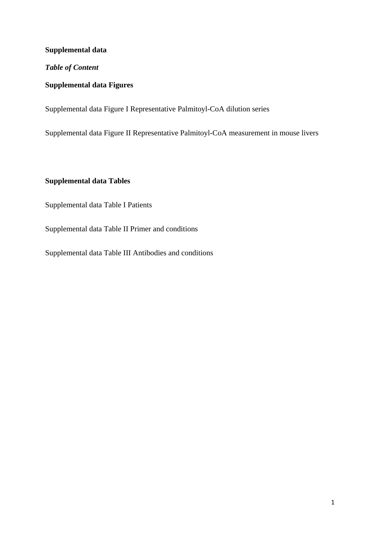### **Supplemental data**

### *Table of Content*

### **Supplemental data Figures**

Supplemental data Figure I Representative Palmitoyl-CoA dilution series

Supplemental data Figure II Representative Palmitoyl-CoA measurement in mouse livers

## **Supplemental data Tables**

Supplemental data Table I Patients

Supplemental data Table II Primer and conditions

Supplemental data Table III Antibodies and conditions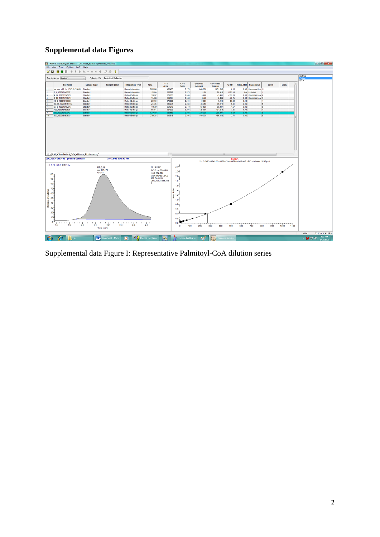# **Supplemental data Figures**

| 医目 圆圆图 全平全杰班协会中 热感 早                                                                                                 | Thermo Xcalibur Quan Browser - 20130316_quan.sld (Bracket 1, View All)<br>File View Zoom Options GoTo Help |                                                |                                           |                                                                                                             |                        |                                                                                                                                                                   |                     |                                                                   |                 |                 |                       |                     |              |      |             | $-6 - 3$ |
|----------------------------------------------------------------------------------------------------------------------|------------------------------------------------------------------------------------------------------------|------------------------------------------------|-------------------------------------------|-------------------------------------------------------------------------------------------------------------|------------------------|-------------------------------------------------------------------------------------------------------------------------------------------------------------------|---------------------|-------------------------------------------------------------------|-----------------|-----------------|-----------------------|---------------------|--------------|------|-------------|----------|
|                                                                                                                      |                                                                                                            |                                                |                                           |                                                                                                             |                        |                                                                                                                                                                   |                     |                                                                   |                 |                 |                       |                     |              |      |             |          |
|                                                                                                                      |                                                                                                            | Calibration File Embedded Calibration          |                                           |                                                                                                             |                        |                                                                                                                                                                   |                     |                                                                   |                 |                 |                       |                     |              |      | MalCoA      |          |
| Bracket in use Bracket 1                                                                                             |                                                                                                            |                                                |                                           |                                                                                                             |                        |                                                                                                                                                                   |                     |                                                                   |                 |                 |                       |                     |              |      | <b>ISTD</b> |          |
| <b>File Name</b>                                                                                                     | <b>Sample Type</b>                                                                                         | <b>Sample Name</b>                             | <b>Integration Type</b>                   | Area                                                                                                        | <b>ISTD</b><br>Area    | Area<br>Ratio                                                                                                                                                     | Specified<br>Amount | Calculated<br><b>Amount</b>                                       | % Diff          | <b>NRSD-AMT</b> | <b>Peak Status</b>    | Level               | <b>Units</b> | ٠    |             |          |
| pal_mal_c17_1u_130315132645 Standard                                                                                 |                                                                                                            |                                                | Manual Integration                        | 980906                                                                                                      | 450420                 | 2.178                                                                                                                                                             | 1000.000            | 1001.538                                                          | 0.15            |                 | 0.00 Response High 11 |                     |              |      |             |          |
| 2 1 130315145337                                                                                                     | Standard                                                                                                   |                                                | Manual Integration                        | 15500                                                                                                       | 205582                 | 0.075                                                                                                                                                             | 2.100               | 28,416                                                            | 1253.16         |                 | <b>NA Excluded</b>    | $\blacksquare$      |              |      |             |          |
| 4_22_130315145855                                                                                                    | Standard                                                                                                   |                                                | Method Settings                           | 16632                                                                                                       | 379658                 | 0.044                                                                                                                                                             | 4.220               | $-1.401$                                                          | $-133.20$       |                 | 0.00 Response Low 2   |                     |              |      |             |          |
| 8_44_130315150415                                                                                                    | Standard                                                                                                   |                                                | <b>Method Settings</b>                    | 17406                                                                                                       | 364165                 | 0.048                                                                                                                                                             | 8.440               | 2.469                                                             | $-70.75$        | 0.00            | Response Low 3        |                     |              |      |             |          |
| 16_9_130315150935                                                                                                    | Standard                                                                                                   |                                                | Method Settings                           | 20078                                                                                                       | 379033                 | 0.053                                                                                                                                                             | 16.900              | 7.443                                                             | -55.96          | 0.00            |                       | ×                   |              |      |             |          |
| 33_75_130315151453                                                                                                   | Standard                                                                                                   |                                                | <b>Method Settings</b>                    | 27735                                                                                                       | 333078                 | 0.083                                                                                                                                                             | 33,750              | 35.575                                                            | 5.41            | 0.00            |                       | к                   |              |      |             |          |
| 67 5 130315152013                                                                                                    | Standard                                                                                                   |                                                | Method Settings                           | 41979                                                                                                       | 354248                 | 0.119                                                                                                                                                             | 67.500              | 66.437                                                            | $-1.57$         | 0.00            |                       | 6                   |              |      |             |          |
| 125_130315152525                                                                                                     | Standard                                                                                                   |                                                | <b>Method Settings</b>                    | 66761                                                                                                       | 327225                 | 0.204                                                                                                                                                             | 125,000             | 134.818                                                           | 7.85            | 0.00            |                       | $\mathbf{r}$        |              |      |             |          |
| 250_130315153042<br>500 130315153600                                                                                 | Standard<br>Standard                                                                                       |                                                | Method Settings<br><b>Method Settings</b> | 131470<br>276928                                                                                            | 325996<br>343818       | 0.403<br>0.806                                                                                                                                                    | 250,000<br>500.000  | 269.997<br>486,448                                                | 0.00<br>$-2.71$ | 0.00<br>0.00    |                       | п<br>$\overline{9}$ |              |      |             |          |
| < > \ \ All \ Standards \ QCs \ Blanks \ Unknowns /<br>250 130315153042 (Method Settings)<br>RT: 1.78 - 2.53 SM: 13G |                                                                                                            | 3/15/2013 3:30:42 PM                           |                                           |                                                                                                             | $\left  \cdot \right $ |                                                                                                                                                                   |                     | Y = 0.0452485+0.00102966*X+1.09789e-006*X*2 R*2 = 0.9994 W: Equal | PalCoA          |                 |                       |                     |              |      |             |          |
| $100 -$<br>$90 -$<br>BD-                                                                                             | RT: 2.16<br>SN: 44                                                                                         | AA: 131470                                     |                                           | NL: 9.83E3<br>TIC F: - c ESI SRM<br>ms2 992 228<br>(924.942-927.942)<br><b>MS Genesis</b><br>$\overline{a}$ | 250 13031515304        | $24 -$<br>$22 -$<br>$2.0 -$<br>$1.8 -$<br>$1.6 -$                                                                                                                 |                     |                                                                   |                 |                 |                       |                     |              |      |             |          |
| $70 -$<br>60<br>50 <sup>2</sup><br>40-<br>30 <sup>2</sup><br>$20 -$<br>$10 -$<br>$0 -$<br>1.9<br>1.8                 | 20<br>2.1                                                                                                  | $\frac{1}{22}$<br>$\frac{1}{23}$<br>Time (min) | 24                                        | $\frac{1}{25}$                                                                                              |                        | $\frac{8}{6}$ 14 <sup>-1</sup><br>$\begin{array}{c} 2 \\ 2 \\ 3 \end{array}$<br>$1.0 -$<br>$0.8 -$<br>$0.6 -$<br>$0.4 -$<br>$0.2 -$<br>$0.0 -$<br>100<br>$\Omega$ | 200                 | 300<br>400                                                        | 500             | 600             | 700                   | 800<br>900          | 1000         | 1100 |             |          |

Supplemental data Figure I: Representative Palmitoyl-CoA dilution series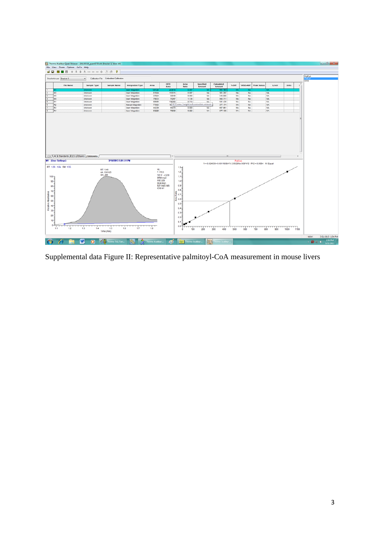

Supplemental data Figure II: Representative palmitoyl-CoA measurement in mouse livers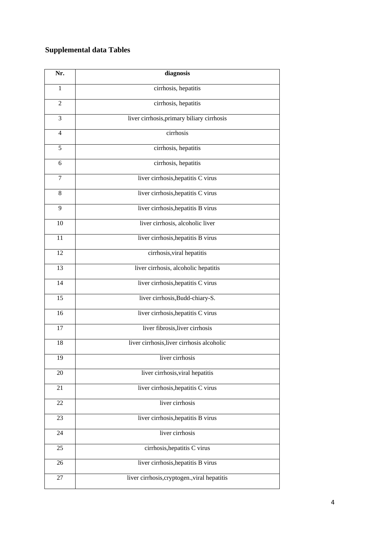# **Supplemental data Tables**

| Nr.            | diagnosis                                    |
|----------------|----------------------------------------------|
| 1              | cirrhosis, hepatitis                         |
| 2              | cirrhosis, hepatitis                         |
| 3              | liver cirrhosis, primary biliary cirrhosis   |
| $\overline{4}$ | cirrhosis                                    |
| 5              | cirrhosis, hepatitis                         |
| 6              | cirrhosis, hepatitis                         |
| 7              | liver cirrhosis, hepatitis C virus           |
| 8              | liver cirrhosis, hepatitis C virus           |
| 9              | liver cirrhosis, hepatitis B virus           |
| 10             | liver cirrhosis, alcoholic liver             |
| 11             | liver cirrhosis, hepatitis B virus           |
| 12             | cirrhosis, viral hepatitis                   |
| 13             | liver cirrhosis, alcoholic hepatitis         |
| 14             | liver cirrhosis, hepatitis C virus           |
| 15             | liver cirrhosis, Budd-chiary-S.              |
| 16             | liver cirrhosis, hepatitis C virus           |
| 17             | liver fibrosis, liver cirrhosis              |
| 18             | liver cirrhosis, liver cirrhosis alcoholic   |
| 19             | liver cirrhosis                              |
| $20\,$         | liver cirrhosis, viral hepatitis             |
| 21             | liver cirrhosis, hepatitis C virus           |
| 22             | liver cirrhosis                              |
| 23             | liver cirrhosis, hepatitis B virus           |
| 24             | liver cirrhosis                              |
| 25             | cirrhosis, hepatitis C virus                 |
| 26             | liver cirrhosis, hepatitis B virus           |
| 27             | liver cirrhosis, cryptogen., viral hepatitis |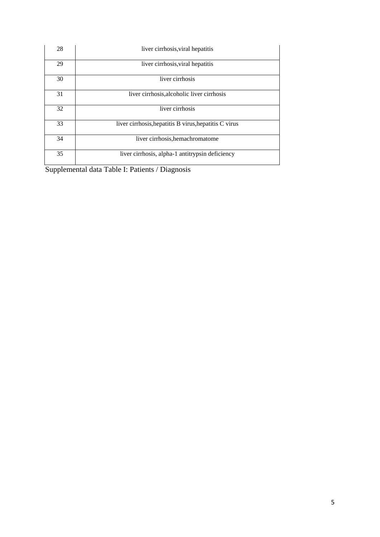| 28 | liver cirrhosis, viral hepatitis                      |
|----|-------------------------------------------------------|
| 29 | liver cirrhosis, viral hepatitis                      |
| 30 | liver cirrhosis                                       |
| 31 | liver cirrhosis, alcoholic liver cirrhosis            |
| 32 | liver cirrhosis                                       |
| 33 | liver cirrhosis, hepatitis B virus, hepatitis C virus |
| 34 | liver cirrhosis, hemachromatome                       |
| 35 | liver cirrhosis, alpha-1 antitrypsin deficiency       |

Supplemental data Table I: Patients / Diagnosis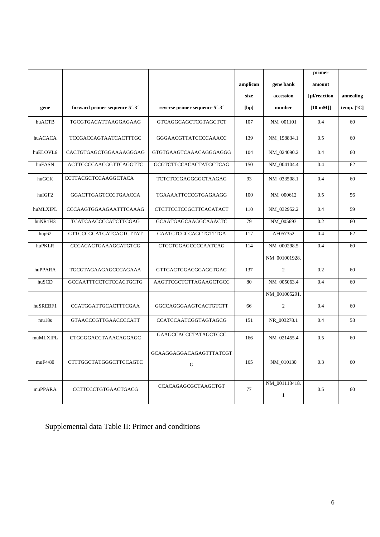|          |                               |                                      |          |                               | primer            |              |
|----------|-------------------------------|--------------------------------------|----------|-------------------------------|-------------------|--------------|
|          |                               |                                      | amplicon | gene bank                     | amount            |              |
|          |                               |                                      | size     | accession                     | [µl/reaction      | annealing    |
| gene     | forward primer sequence 5'-3' | reverse primer sequence 5'-3'        | [bp]     | number                        | $[10 \text{ mM}]$ | temp. $[°C]$ |
| huACTB   | TGCGTGACATTAAGGAGAAG          | GTCAGGCAGCTCGTAGCTCT                 | 107      | NM_001101                     | 0.4               | 60           |
| huACACA  | TCCGACCAGTAATCACTTTGC         | GGGAACGTTATCCCCAAACC                 | 139      | NM_198834.1                   | 0.5               | 60           |
| huELOVL6 | CACTGTGAGCTGGAAAAGGGAG        | GTGTGAAGTCAAACAGGGAGGG               | 104      | NM_024090.2                   | 0.4               | 60           |
| huFASN   | ACTTCCCCAACGGTTCAGGTTC        | GCGTCTTCCACACTATGCTCAG               | 150      | NM_004104.4                   | 0.4               | 62           |
| huGCK    | CCTTACGCTCCAAGGCTACA          | TCTCTCCGAGGGGCTAAGAG                 | 93       | NM_033508.1                   | 0.4               | 60           |
| huIGF2   | GGACTTGAGTCCCTGAACCA          | TGAAAATTCCCGTGAGAAGG                 | 100      | NM_000612                     | 0.5               | 56           |
| huMLXIPL | CCCAAGTGGAAGAATTTCAAAG        | CTCTTCCTCCGCTTCACATACT               | 110      | NM_032952.2                   | 0.4               | 59           |
| huNR1H3  | TCATCAACCCCATCTTCGAG          | <b>GCAATGAGCAAGGCAAACTC</b>          | 79       | NM_005693                     | 0.2               | 60           |
| hup62    | <b>GTTCCCGCATCATCACTCTTAT</b> | GAATCTCGCCAGCTGTTTGA                 | 117      | AF057352                      | 0.4               | 62           |
| huPKLR   | CCCACACTGAAAGCATGTCG          | <b>CTCCTGGAGCCCCAATCAG</b>           | 114      | NM_000298.5                   | 0.4               | 60           |
|          |                               |                                      |          | NM_001001928.                 |                   |              |
| huPPARA  | TGCGTAGAAGAGCCCAGAAA          | GTTGACTGGACGGAGCTGAG                 | 137      | 2                             | 0.2               | 60           |
| huSCD    | <b>GCCAATTTCCTCTCCACTGCTG</b> | AAGTTCGCTCTTAGAAGCTGCC               | 80       | NM_005063.4                   | 0.4               | 60           |
|          |                               |                                      |          | NM_001005291.                 |                   |              |
| huSREBF1 | CCATGGATTGCACTTTCGAA          | GGCCAGGGAAGTCACTGTCTT                | 66       | $\overline{c}$                | 0.4               | 60           |
| mu18s    | GTAACCCGTTGAACCCCATT          | CCATCCAATCGGTAGTAGCG                 | 151      | NR_003278.1                   | 0.4               | 58           |
| muMLXIPL | CTGGGGACCTAAACAGGAGC          | GAAGCCACCCTATAGCTCCC                 | 166      | NM_021455.4                   | 0.5               | 60           |
| muF4/80  | CTTTGGCTATGGGCTTCCAGTC        | GCAAGGAGGACAGAGTTTATCGT<br>${\bf G}$ | 165      | NM_010130                     | 0.3               | 60           |
| muPPARA  | CCTTCCCTGTGAACTGACG           | CCACAGAGCGCTAAGCTGT                  | 77       | NM_001113418.<br>$\mathbf{1}$ | 0.5               | 60           |

Supplemental data Table II: Primer and conditions